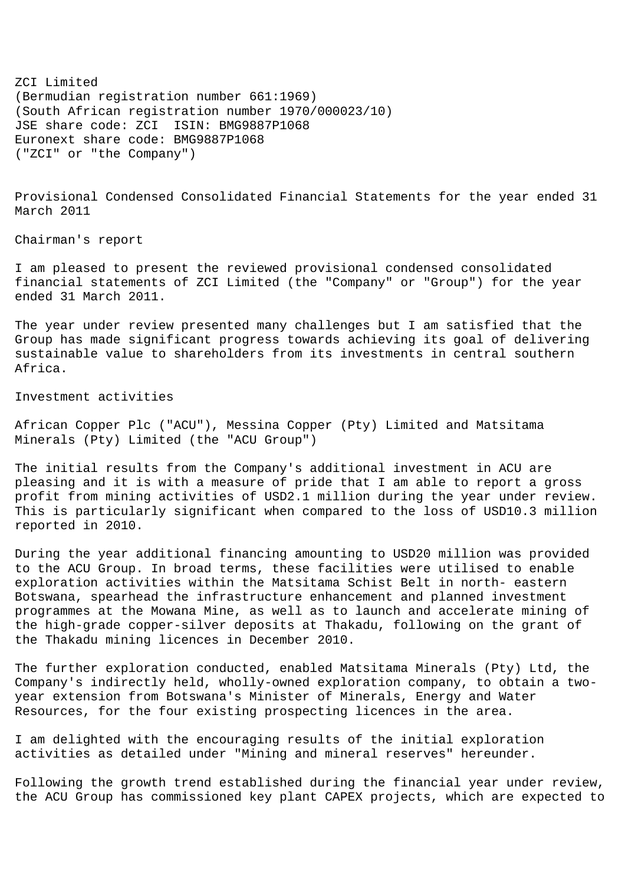ZCI Limited (Bermudian registration number 661:1969) (South African registration number 1970/000023/10) JSE share code: ZCI ISIN: BMG9887P1068 Euronext share code: BMG9887P1068 ("ZCI" or "the Company")

Provisional Condensed Consolidated Financial Statements for the year ended 31 March 2011

Chairman's report

I am pleased to present the reviewed provisional condensed consolidated financial statements of ZCI Limited (the "Company" or "Group") for the year ended 31 March 2011.

The year under review presented many challenges but I am satisfied that the Group has made significant progress towards achieving its goal of delivering sustainable value to shareholders from its investments in central southern Africa.

Investment activities

African Copper Plc ("ACU"), Messina Copper (Pty) Limited and Matsitama Minerals (Pty) Limited (the "ACU Group")

The initial results from the Company's additional investment in ACU are pleasing and it is with a measure of pride that I am able to report a gross profit from mining activities of USD2.1 million during the year under review. This is particularly significant when compared to the loss of USD10.3 million reported in 2010.

During the year additional financing amounting to USD20 million was provided to the ACU Group. In broad terms, these facilities were utilised to enable exploration activities within the Matsitama Schist Belt in north- eastern Botswana, spearhead the infrastructure enhancement and planned investment programmes at the Mowana Mine, as well as to launch and accelerate mining of the high-grade copper-silver deposits at Thakadu, following on the grant of the Thakadu mining licences in December 2010.

The further exploration conducted, enabled Matsitama Minerals (Pty) Ltd, the Company's indirectly held, wholly-owned exploration company, to obtain a twoyear extension from Botswana's Minister of Minerals, Energy and Water Resources, for the four existing prospecting licences in the area.

I am delighted with the encouraging results of the initial exploration activities as detailed under "Mining and mineral reserves" hereunder.

Following the growth trend established during the financial year under review, the ACU Group has commissioned key plant CAPEX projects, which are expected to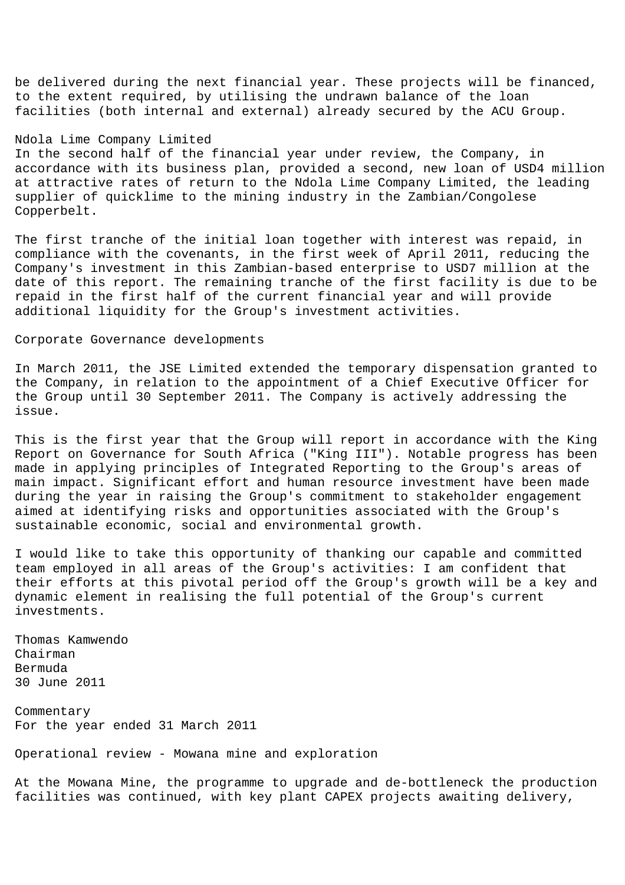be delivered during the next financial year. These projects will be financed, to the extent required, by utilising the undrawn balance of the loan facilities (both internal and external) already secured by the ACU Group.

## Ndola Lime Company Limited

In the second half of the financial year under review, the Company, in accordance with its business plan, provided a second, new loan of USD4 million at attractive rates of return to the Ndola Lime Company Limited, the leading supplier of quicklime to the mining industry in the Zambian/Congolese Copperbelt.

The first tranche of the initial loan together with interest was repaid, in compliance with the covenants, in the first week of April 2011, reducing the Company's investment in this Zambian-based enterprise to USD7 million at the date of this report. The remaining tranche of the first facility is due to be repaid in the first half of the current financial year and will provide additional liquidity for the Group's investment activities.

#### Corporate Governance developments

In March 2011, the JSE Limited extended the temporary dispensation granted to the Company, in relation to the appointment of a Chief Executive Officer for the Group until 30 September 2011. The Company is actively addressing the issue.

This is the first year that the Group will report in accordance with the King Report on Governance for South Africa ("King III"). Notable progress has been made in applying principles of Integrated Reporting to the Group's areas of main impact. Significant effort and human resource investment have been made during the year in raising the Group's commitment to stakeholder engagement aimed at identifying risks and opportunities associated with the Group's sustainable economic, social and environmental growth.

I would like to take this opportunity of thanking our capable and committed team employed in all areas of the Group's activities: I am confident that their efforts at this pivotal period off the Group's growth will be a key and dynamic element in realising the full potential of the Group's current investments.

Thomas Kamwendo Chairman Bermuda 30 June 2011

Commentary For the year ended 31 March 2011

Operational review - Mowana mine and exploration

At the Mowana Mine, the programme to upgrade and de-bottleneck the production facilities was continued, with key plant CAPEX projects awaiting delivery,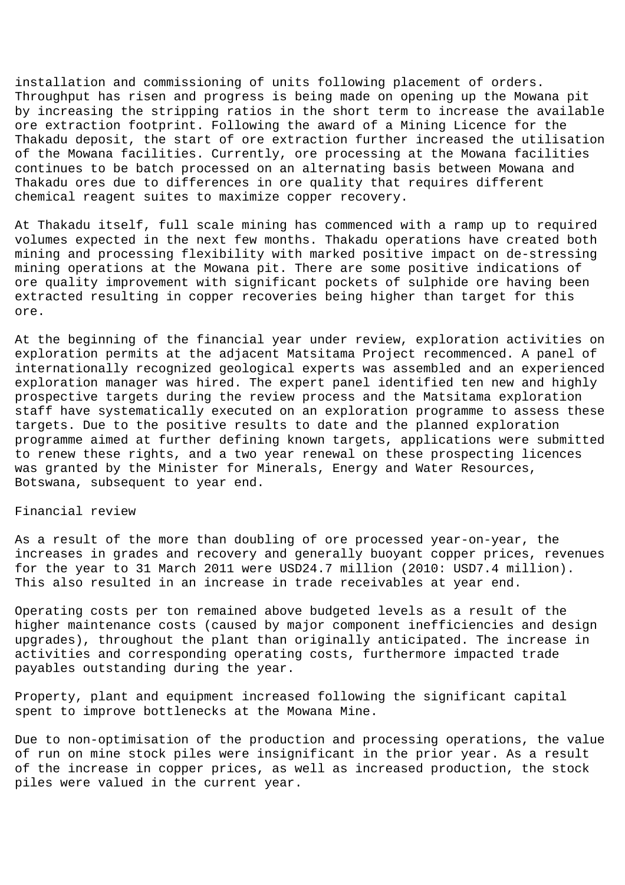installation and commissioning of units following placement of orders. Throughput has risen and progress is being made on opening up the Mowana pit by increasing the stripping ratios in the short term to increase the available ore extraction footprint. Following the award of a Mining Licence for the Thakadu deposit, the start of ore extraction further increased the utilisation of the Mowana facilities. Currently, ore processing at the Mowana facilities continues to be batch processed on an alternating basis between Mowana and Thakadu ores due to differences in ore quality that requires different chemical reagent suites to maximize copper recovery.

At Thakadu itself, full scale mining has commenced with a ramp up to required volumes expected in the next few months. Thakadu operations have created both mining and processing flexibility with marked positive impact on de-stressing mining operations at the Mowana pit. There are some positive indications of ore quality improvement with significant pockets of sulphide ore having been extracted resulting in copper recoveries being higher than target for this ore.

At the beginning of the financial year under review, exploration activities on exploration permits at the adjacent Matsitama Project recommenced. A panel of internationally recognized geological experts was assembled and an experienced exploration manager was hired. The expert panel identified ten new and highly prospective targets during the review process and the Matsitama exploration staff have systematically executed on an exploration programme to assess these targets. Due to the positive results to date and the planned exploration programme aimed at further defining known targets, applications were submitted to renew these rights, and a two year renewal on these prospecting licences was granted by the Minister for Minerals, Energy and Water Resources, Botswana, subsequent to year end.

## Financial review

As a result of the more than doubling of ore processed year-on-year, the increases in grades and recovery and generally buoyant copper prices, revenues for the year to 31 March 2011 were USD24.7 million (2010: USD7.4 million). This also resulted in an increase in trade receivables at year end.

Operating costs per ton remained above budgeted levels as a result of the higher maintenance costs (caused by major component inefficiencies and design upgrades), throughout the plant than originally anticipated. The increase in activities and corresponding operating costs, furthermore impacted trade payables outstanding during the year.

Property, plant and equipment increased following the significant capital spent to improve bottlenecks at the Mowana Mine.

Due to non-optimisation of the production and processing operations, the value of run on mine stock piles were insignificant in the prior year. As a result of the increase in copper prices, as well as increased production, the stock piles were valued in the current year.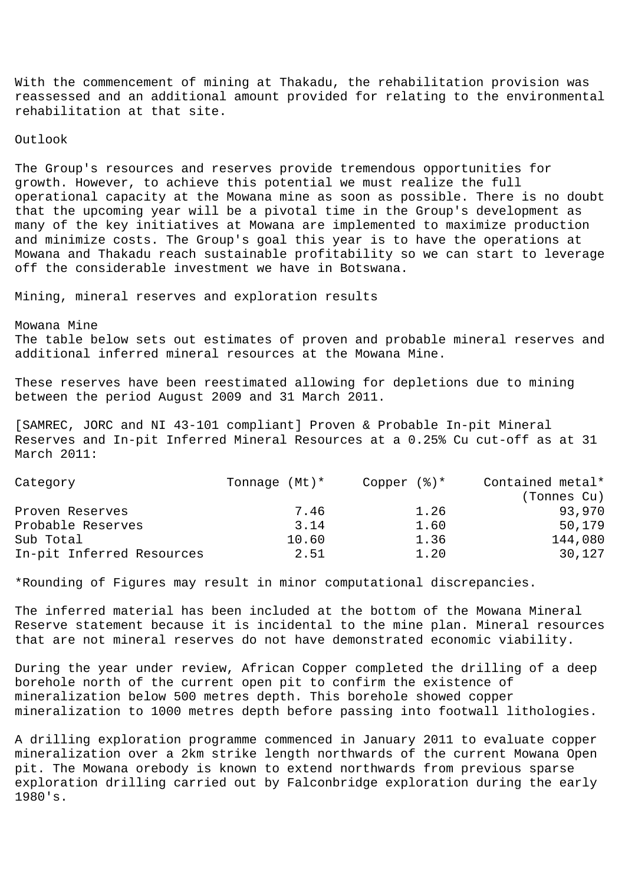With the commencement of mining at Thakadu, the rehabilitation provision was reassessed and an additional amount provided for relating to the environmental rehabilitation at that site.

Outlook

The Group's resources and reserves provide tremendous opportunities for growth. However, to achieve this potential we must realize the full operational capacity at the Mowana mine as soon as possible. There is no doubt that the upcoming year will be a pivotal time in the Group's development as many of the key initiatives at Mowana are implemented to maximize production and minimize costs. The Group's goal this year is to have the operations at Mowana and Thakadu reach sustainable profitability so we can start to leverage off the considerable investment we have in Botswana.

Mining, mineral reserves and exploration results

Mowana Mine The table below sets out estimates of proven and probable mineral reserves and additional inferred mineral resources at the Mowana Mine.

These reserves have been reestimated allowing for depletions due to mining between the period August 2009 and 31 March 2011.

[SAMREC, JORC and NI 43-101 compliant] Proven & Probable In-pit Mineral Reserves and In-pit Inferred Mineral Resources at a 0.25% Cu cut-off as at 31 March 2011:

| Tonnage $(Mt)*$ | Copper $(\frac{1}{6})^*$ | Contained metal* |
|-----------------|--------------------------|------------------|
|                 |                          | (Tonnes Cu)      |
| 7.46            | 1.26                     | 93,970           |
| 3.14            | 1.60                     | 50,179           |
| 10.60           | 1.36                     | 144,080          |
| 2.51            | 1.20                     | 30,127           |
|                 |                          |                  |

\*Rounding of Figures may result in minor computational discrepancies.

The inferred material has been included at the bottom of the Mowana Mineral Reserve statement because it is incidental to the mine plan. Mineral resources that are not mineral reserves do not have demonstrated economic viability.

During the year under review, African Copper completed the drilling of a deep borehole north of the current open pit to confirm the existence of mineralization below 500 metres depth. This borehole showed copper mineralization to 1000 metres depth before passing into footwall lithologies.

A drilling exploration programme commenced in January 2011 to evaluate copper mineralization over a 2km strike length northwards of the current Mowana Open pit. The Mowana orebody is known to extend northwards from previous sparse exploration drilling carried out by Falconbridge exploration during the early 1980's.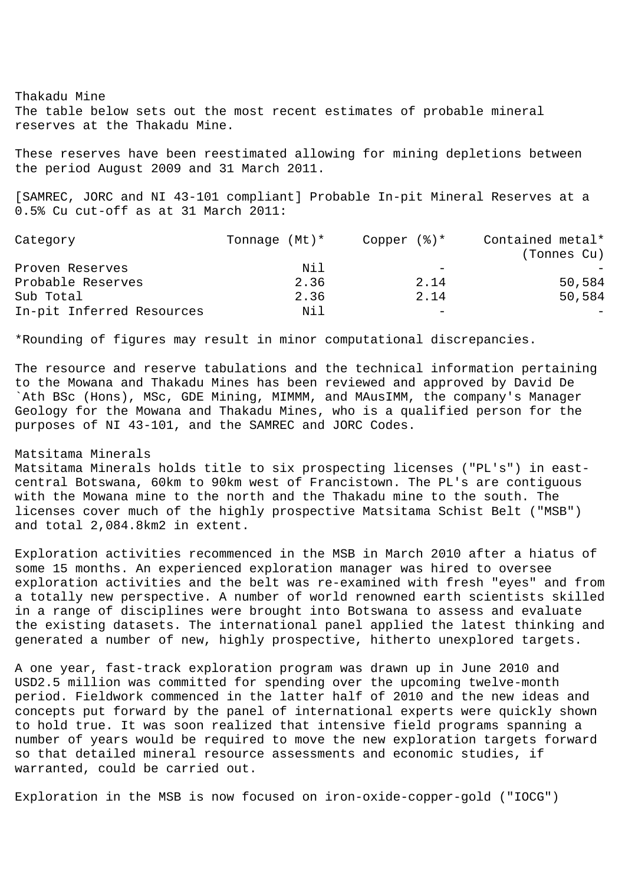Thakadu Mine The table below sets out the most recent estimates of probable mineral reserves at the Thakadu Mine.

These reserves have been reestimated allowing for mining depletions between the period August 2009 and 31 March 2011.

[SAMREC, JORC and NI 43-101 compliant] Probable In-pit Mineral Reserves at a 0.5% Cu cut-off as at 31 March 2011:

| Category                  | Tonnage $(Mt)*$ | Copper $(\frac{1}{6})^*$ | Contained metal* |
|---------------------------|-----------------|--------------------------|------------------|
|                           |                 |                          | (Tonnes Cu)      |
| Proven Reserves           | Nil             | -                        |                  |
| Probable Reserves         | 2.36            | 2.14                     | 50,584           |
| Sub Total                 | 2.36            | 2.14                     | 50,584           |
| In-pit Inferred Resources | Nil             | -                        |                  |

\*Rounding of figures may result in minor computational discrepancies.

The resource and reserve tabulations and the technical information pertaining to the Mowana and Thakadu Mines has been reviewed and approved by David De `Ath BSc (Hons), MSc, GDE Mining, MIMMM, and MAusIMM, the company's Manager Geology for the Mowana and Thakadu Mines, who is a qualified person for the purposes of NI 43-101, and the SAMREC and JORC Codes.

## Matsitama Minerals

Matsitama Minerals holds title to six prospecting licenses ("PL's") in eastcentral Botswana, 60km to 90km west of Francistown. The PL's are contiguous with the Mowana mine to the north and the Thakadu mine to the south. The licenses cover much of the highly prospective Matsitama Schist Belt ("MSB") and total 2,084.8km2 in extent.

Exploration activities recommenced in the MSB in March 2010 after a hiatus of some 15 months. An experienced exploration manager was hired to oversee exploration activities and the belt was re-examined with fresh "eyes" and from a totally new perspective. A number of world renowned earth scientists skilled in a range of disciplines were brought into Botswana to assess and evaluate the existing datasets. The international panel applied the latest thinking and generated a number of new, highly prospective, hitherto unexplored targets.

A one year, fast-track exploration program was drawn up in June 2010 and USD2.5 million was committed for spending over the upcoming twelve-month period. Fieldwork commenced in the latter half of 2010 and the new ideas and concepts put forward by the panel of international experts were quickly shown to hold true. It was soon realized that intensive field programs spanning a number of years would be required to move the new exploration targets forward so that detailed mineral resource assessments and economic studies, if warranted, could be carried out.

Exploration in the MSB is now focused on iron-oxide-copper-gold ("IOCG")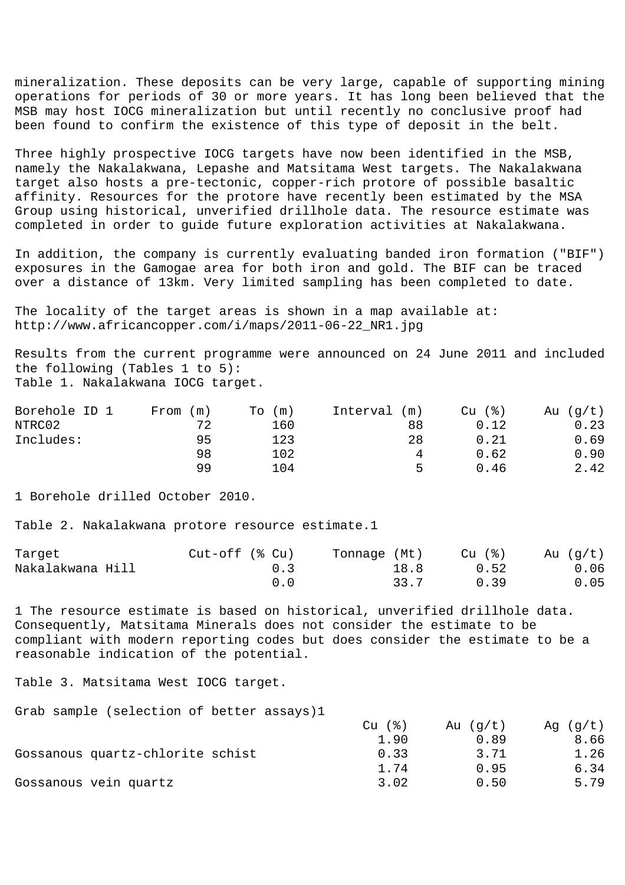mineralization. These deposits can be very large, capable of supporting mining operations for periods of 30 or more years. It has long been believed that the MSB may host IOCG mineralization but until recently no conclusive proof had been found to confirm the existence of this type of deposit in the belt.

Three highly prospective IOCG targets have now been identified in the MSB, namely the Nakalakwana, Lepashe and Matsitama West targets. The Nakalakwana target also hosts a pre-tectonic, copper-rich protore of possible basaltic affinity. Resources for the protore have recently been estimated by the MSA Group using historical, unverified drillhole data. The resource estimate was completed in order to guide future exploration activities at Nakalakwana.

In addition, the company is currently evaluating banded iron formation ("BIF") exposures in the Gamogae area for both iron and gold. The BIF can be traced over a distance of 13km. Very limited sampling has been completed to date.

The locality of the target areas is shown in a map available at: http://www.africancopper.com/i/maps/2011-06-22\_NR1.jpg

Results from the current programme were announced on 24 June 2011 and included the following (Tables 1 to 5): Table 1. Nakalakwana IOCG target.

| Borehole ID 1 | From<br>(m) | m)<br>To | Interval<br>(m) | $Cu$ $(%)$ | (g/t)<br>Au |
|---------------|-------------|----------|-----------------|------------|-------------|
| NTRC02        | 72          | 160      | 88              | 0.12       | 0.23        |
| Includes:     | 95          | 123      | 28              | 0.21       | .69         |
|               | 98          | 102      | 4               | 0.62       | 0.90        |
|               | 99          | 104      |                 | 0.46       | 2.42        |

1 Borehole drilled October 2010.

Table 2. Nakalakwana protore resource estimate.1

| Target           | $Cut-off$ ( $\%$ Cu) | Tonnage (Mt) | Cu (%) | Au $(g/t)$ |
|------------------|----------------------|--------------|--------|------------|
| Nakalakwana Hill | 0.3                  | 18.8         | 0.52   | 0.06       |
|                  |                      | 33.7         | 0.39   | 0.05       |

1 The resource estimate is based on historical, unverified drillhole data. Consequently, Matsitama Minerals does not consider the estimate to be compliant with modern reporting codes but does consider the estimate to be a reasonable indication of the potential.

Table 3. Matsitama West IOCG target.

Grab sample (selection of better assays)1

|                                  | - ( දි )<br>Cu | Au $(q/t)$ | $Aq$ (q/t) |
|----------------------------------|----------------|------------|------------|
|                                  | 1.90           | 0.89       | 8.66       |
| Gossanous quartz-chlorite schist | 0.33           | 3.71       | 1.26       |
|                                  | 1.74           | 0.95       | 6.34       |
| Gossanous vein quartz            | 3.02           | 0.50       | 5.79       |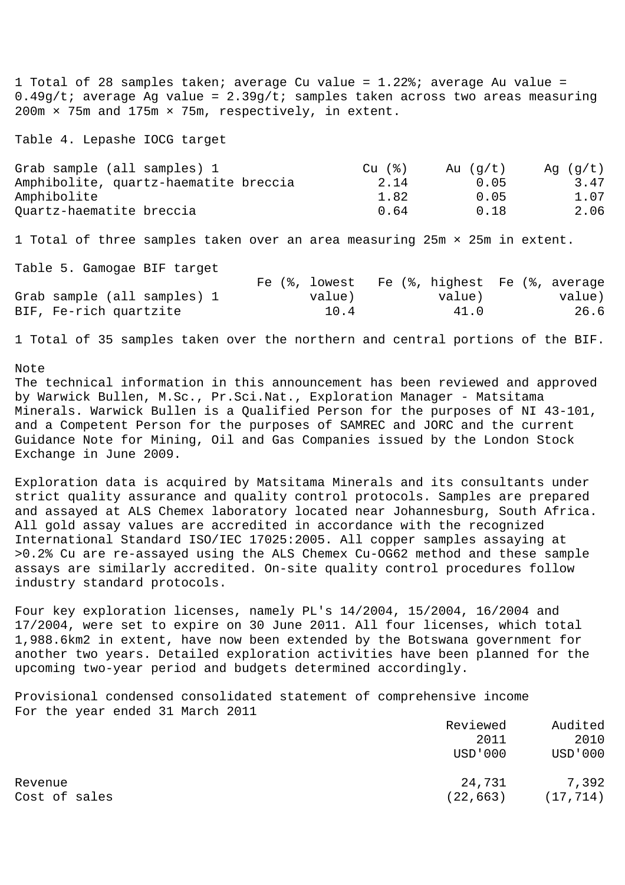1 Total of 28 samples taken; average Cu value = 1.22%; average Au value =  $0.49g/t$ ; average Ag value = 2.39g/t; samples taken across two areas measuring 200m × 75m and 175m × 75m, respectively, in extent.

Table 4. Lepashe IOCG target

| Grab sample (all samples) 1           | $Cu$ $(%)$ | Au $(q/t)$ | Ag $(g/t)$ |
|---------------------------------------|------------|------------|------------|
| Amphibolite, quartz-haematite breccia | 2.14       | 0.05       | 3.47       |
| Amphibolite                           | 1.82       | 0.05       | 1.07       |
| Quartz-haematite breccia              | 0.64       | 0.18       | 2.06       |

1 Total of three samples taken over an area measuring 25m × 25m in extent.

Table 5. Gamogae BIF target

| Labic J. Samogae Dil calgec |               |                               |        |
|-----------------------------|---------------|-------------------------------|--------|
|                             | Fe (%, lowest | Fe (%, highest Fe (%, average |        |
| Grab sample (all samples) 1 | value)        | value)                        | value) |
| BIF, Fe-rich quartzite      | 10.4          | 41.0                          | 26.6   |

1 Total of 35 samples taken over the northern and central portions of the BIF.

Note

The technical information in this announcement has been reviewed and approved by Warwick Bullen, M.Sc., Pr.Sci.Nat., Exploration Manager - Matsitama Minerals. Warwick Bullen is a Qualified Person for the purposes of NI 43-101, and a Competent Person for the purposes of SAMREC and JORC and the current Guidance Note for Mining, Oil and Gas Companies issued by the London Stock Exchange in June 2009.

Exploration data is acquired by Matsitama Minerals and its consultants under strict quality assurance and quality control protocols. Samples are prepared and assayed at ALS Chemex laboratory located near Johannesburg, South Africa. All gold assay values are accredited in accordance with the recognized International Standard ISO/IEC 17025:2005. All copper samples assaying at >0.2% Cu are re-assayed using the ALS Chemex Cu-OG62 method and these sample assays are similarly accredited. On-site quality control procedures follow industry standard protocols.

Four key exploration licenses, namely PL's 14/2004, 15/2004, 16/2004 and 17/2004, were set to expire on 30 June 2011. All four licenses, which total 1,988.6km2 in extent, have now been extended by the Botswana government for another two years. Detailed exploration activities have been planned for the upcoming two-year period and budgets determined accordingly.

Provisional condensed consolidated statement of comprehensive income For the year ended 31 March 2011

|               | Reviewed  | Audited        |
|---------------|-----------|----------------|
|               | 2011      | 2010           |
|               | USD'000   | <b>USD'000</b> |
| Revenue       | 24,731    | 7,392          |
| Cost of sales | (22, 663) | (17, 714)      |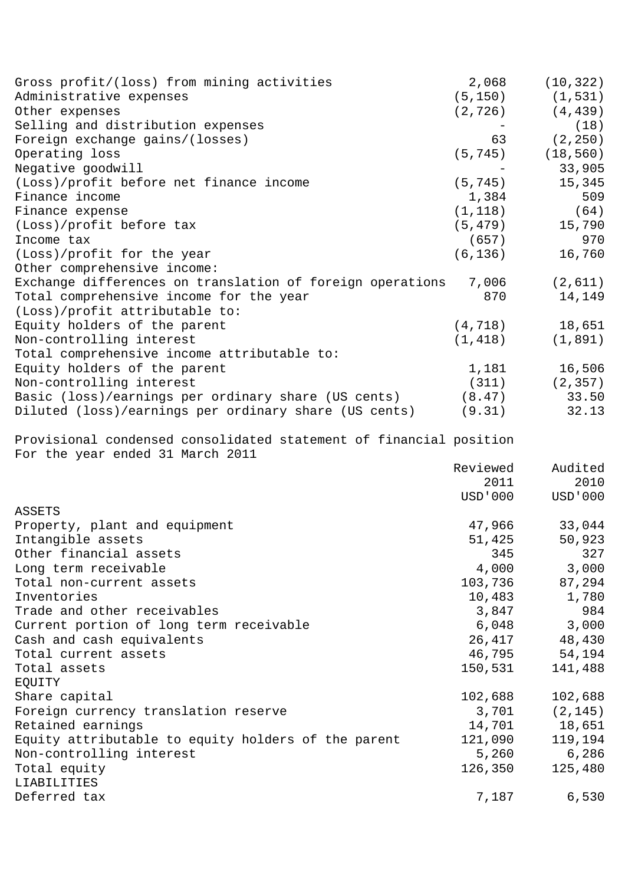| Gross profit/(loss) from mining activities                         | 2,068    | (10, 322) |
|--------------------------------------------------------------------|----------|-----------|
| Administrative expenses                                            | (5, 150) | (1, 531)  |
| Other expenses                                                     | (2, 726) | (4, 439)  |
| Selling and distribution expenses                                  |          | (18)      |
| Foreign exchange gains/(losses)                                    | 63       | (2, 250)  |
| Operating loss                                                     | (5, 745) | (18, 560) |
| Negative goodwill                                                  |          | 33,905    |
| (Loss)/profit before net finance income                            | (5, 745) | 15,345    |
| Finance income                                                     | 1,384    | 509       |
| Finance expense                                                    | (1, 118) | (64)      |
| (Loss)/profit before tax                                           | (5, 479) | 15,790    |
| Income tax                                                         | (657)    | 970       |
| (Loss)/profit for the year                                         | (6, 136) | 16,760    |
| Other comprehensive income:                                        |          |           |
| Exchange differences on translation of foreign operations          | 7,006    | (2,611)   |
| Total comprehensive income for the year                            | 870      | 14,149    |
| (Loss)/profit attributable to:                                     |          |           |
| Equity holders of the parent                                       | (4, 718) | 18,651    |
| Non-controlling interest                                           | (1, 418) | (1, 891)  |
| Total comprehensive income attributable to:                        |          |           |
| Equity holders of the parent                                       | 1,181    | 16,506    |
| Non-controlling interest                                           | (311)    | (2, 357)  |
| Basic (loss)/earnings per ordinary share (US cents)                | (8.47)   | 33.50     |
| Diluted (loss)/earnings per ordinary share (US cents)              | (9.31)   | 32.13     |
| Provisional condensed consolidated statement of financial position |          |           |
| For the year ended 31 March 2011                                   |          |           |
|                                                                    | Reviewed | Audited   |
|                                                                    | 2011     | 2010      |
|                                                                    | USD'000  | USD ' 000 |
| ASSETS                                                             |          |           |
| Property, plant and equipment                                      | 47,966   | 33,044    |
| Intangible assets                                                  | 51,425   | 50,923    |
| Other financial assets                                             | 345      | 327       |
| Long term receivable                                               | 4,000    | 3,000     |
| Total non-current assets                                           | 103,736  | 87,294    |
| Inventories                                                        | 10,483   | 1,780     |
| Trade and other receivables                                        | 3,847    | 984       |
| Current portion of long term receivable                            | 6,048    | 3,000     |
| Cash and cash equivalents                                          | 26,417   | 48,430    |
| Total current assets                                               | 46,795   | 54,194    |
| Total assets                                                       | 150,531  | 141,488   |
| EQUITY                                                             |          |           |
| Share capital                                                      | 102,688  | 102,688   |
| Foreign currency translation reserve                               | 3,701    | (2, 145)  |
| Retained earnings                                                  | 14,701   | 18,651    |
| Equity attributable to equity holders of the parent                | 121,090  | 119,194   |
| Non-controlling interest                                           | 5,260    | 6,286     |
| Total equity                                                       | 126,350  | 125,480   |
| LIABILITIES                                                        |          |           |
| Deferred tax                                                       | 7,187    | 6,530     |
|                                                                    |          |           |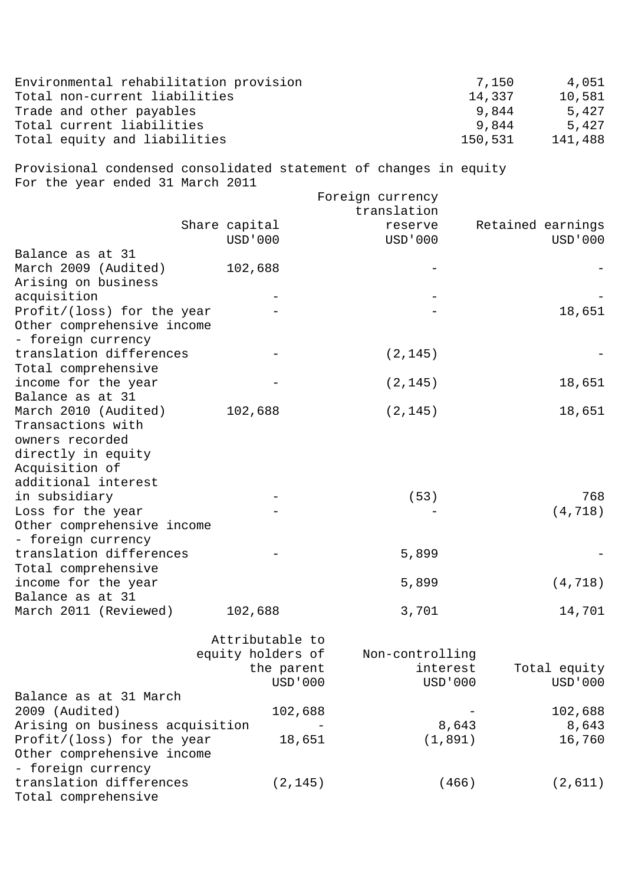| Environmental rehabilitation provision<br>Total non-current liabilities<br>Trade and other payables<br>Total current liabilities |                   |                  | 7,150<br>4,051<br>14,337<br>10,581<br>9,844<br>5,427<br>9,844<br>5,427 |
|----------------------------------------------------------------------------------------------------------------------------------|-------------------|------------------|------------------------------------------------------------------------|
| Total equity and liabilities                                                                                                     |                   |                  | 150,531<br>141,488                                                     |
| Provisional condensed consolidated statement of changes in equity<br>For the year ended 31 March 2011                            |                   |                  |                                                                        |
|                                                                                                                                  |                   | Foreign currency |                                                                        |
|                                                                                                                                  |                   | translation      |                                                                        |
|                                                                                                                                  | Share capital     | reserve          | Retained earnings                                                      |
|                                                                                                                                  | USD ' 000         | USD ' 000        | USD ' 000                                                              |
| Balance as at 31                                                                                                                 |                   |                  |                                                                        |
| March 2009 (Audited)                                                                                                             | 102,688           |                  |                                                                        |
| Arising on business                                                                                                              |                   |                  |                                                                        |
| acquisition                                                                                                                      |                   |                  |                                                                        |
| Profit/(loss) for the year                                                                                                       |                   |                  | 18,651                                                                 |
| Other comprehensive income                                                                                                       |                   |                  |                                                                        |
| - foreign currency                                                                                                               |                   |                  |                                                                        |
| translation differences                                                                                                          |                   | (2, 145)         |                                                                        |
| Total comprehensive                                                                                                              |                   |                  |                                                                        |
| income for the year                                                                                                              |                   | (2, 145)         | 18,651                                                                 |
| Balance as at 31                                                                                                                 |                   |                  |                                                                        |
| March 2010 (Audited)                                                                                                             | 102,688           | (2, 145)         | 18,651                                                                 |
| Transactions with                                                                                                                |                   |                  |                                                                        |
| owners recorded                                                                                                                  |                   |                  |                                                                        |
| directly in equity                                                                                                               |                   |                  |                                                                        |
| Acquisition of                                                                                                                   |                   |                  |                                                                        |
| additional interest                                                                                                              |                   |                  |                                                                        |
| in subsidiary                                                                                                                    |                   | (53)             | 768                                                                    |
| Loss for the year                                                                                                                |                   |                  | (4, 718)                                                               |
| Other comprehensive income                                                                                                       |                   |                  |                                                                        |
| - foreign currency                                                                                                               |                   |                  |                                                                        |
| translation differences                                                                                                          |                   | 5,899            |                                                                        |
| Total comprehensive                                                                                                              |                   |                  |                                                                        |
| income for the year                                                                                                              |                   | 5,899            | (4, 718)                                                               |
| Balance as at 31                                                                                                                 |                   |                  |                                                                        |
| March 2011 (Reviewed)                                                                                                            | 102,688           | 3,701            | 14,701                                                                 |
|                                                                                                                                  | Attributable to   |                  |                                                                        |
|                                                                                                                                  | equity holders of | Non-controlling  |                                                                        |
|                                                                                                                                  | the parent        | interest         | Total equity                                                           |
|                                                                                                                                  | USD ' 000         | <b>USD'000</b>   | USD ' 000                                                              |
| Balance as at 31 March                                                                                                           |                   |                  |                                                                        |
| 2009 (Audited)                                                                                                                   | 102,688           |                  | 102,688                                                                |
| Arising on business acquisition                                                                                                  |                   | 8,643            | 8,643                                                                  |
| Profit/(loss) for the year                                                                                                       | 18,651            | (1, 891)         | 16,760                                                                 |
| Other comprehensive income                                                                                                       |                   |                  |                                                                        |
| - foreign currency                                                                                                               |                   |                  |                                                                        |
| translation differences                                                                                                          | (2, 145)          | (466)            | (2,611)                                                                |
| Total comprehensive                                                                                                              |                   |                  |                                                                        |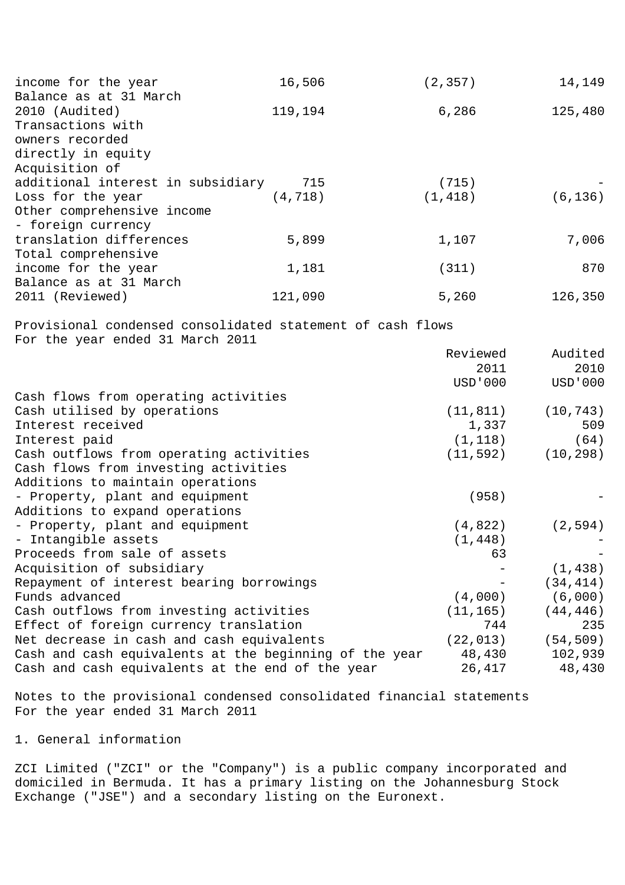| income for the year<br>Balance as at 31 March                                                  | 16,506   | (2, 357)         | 14,149          |
|------------------------------------------------------------------------------------------------|----------|------------------|-----------------|
| 2010 (Audited)<br>Transactions with<br>owners recorded<br>directly in equity                   | 119,194  | 6,286            | 125,480         |
| Acquisition of<br>additional interest in subsidiary                                            | 715      | (715)            |                 |
| Loss for the year                                                                              | (4, 718) | (1, 418)         | (6, 136)        |
| Other comprehensive income<br>- foreign currency                                               |          |                  |                 |
| translation differences<br>Total comprehensive                                                 | 5,899    | 1,107            | 7,006           |
| income for the year                                                                            | 1,181    | (311)            | 870             |
| Balance as at 31 March                                                                         |          |                  |                 |
| 2011 (Reviewed)                                                                                | 121,090  | 5,260            | 126,350         |
| Provisional condensed consolidated statement of cash flows<br>For the year ended 31 March 2011 |          | Reviewed<br>2011 | Audited<br>2010 |
|                                                                                                |          | USD ' 000        | <b>USD'000</b>  |
| Cash flows from operating activities                                                           |          |                  |                 |
| Cash utilised by operations                                                                    |          | (11, 811)        | (10, 743)       |
| Interest received                                                                              |          | 1,337            | 509             |
| Interest paid                                                                                  |          | (1, 118)         | (64)            |
| Cash outflows from operating activities                                                        |          | (11, 592)        | (10, 298)       |
| Cash flows from investing activities                                                           |          |                  |                 |
| Additions to maintain operations                                                               |          |                  |                 |
| - Property, plant and equipment                                                                |          | (958)            |                 |
| Additions to expand operations                                                                 |          |                  |                 |
| - Property, plant and equipment                                                                |          | (4,822)          | (2, 594)        |
| - Intangible assets                                                                            |          | (1, 448)         |                 |
| Proceeds from sale of assets                                                                   |          | 63               |                 |
| Acquisition of subsidiary                                                                      |          |                  | (1, 438)        |
| Repayment of interest bearing borrowings                                                       |          |                  | (34, 414)       |
| Funds advanced                                                                                 |          | (4,000)          | (6,000)         |
| Cash outflows from investing activities                                                        |          | (11, 165)        | (44, 446)       |
| Effect of foreign currency translation                                                         |          | 744              | 235             |
| Net decrease in cash and cash equivalents                                                      |          | (22, 013)        | (54, 509)       |
| Cash and cash equivalents at the beginning of the year                                         |          | 48,430           | 102,939         |
| Cash and cash equivalents at the end of the year                                               |          | 26,417           | 48,430          |

Notes to the provisional condensed consolidated financial statements For the year ended 31 March 2011

# 1. General information

ZCI Limited ("ZCI" or the "Company") is a public company incorporated and domiciled in Bermuda. It has a primary listing on the Johannesburg Stock Exchange ("JSE") and a secondary listing on the Euronext.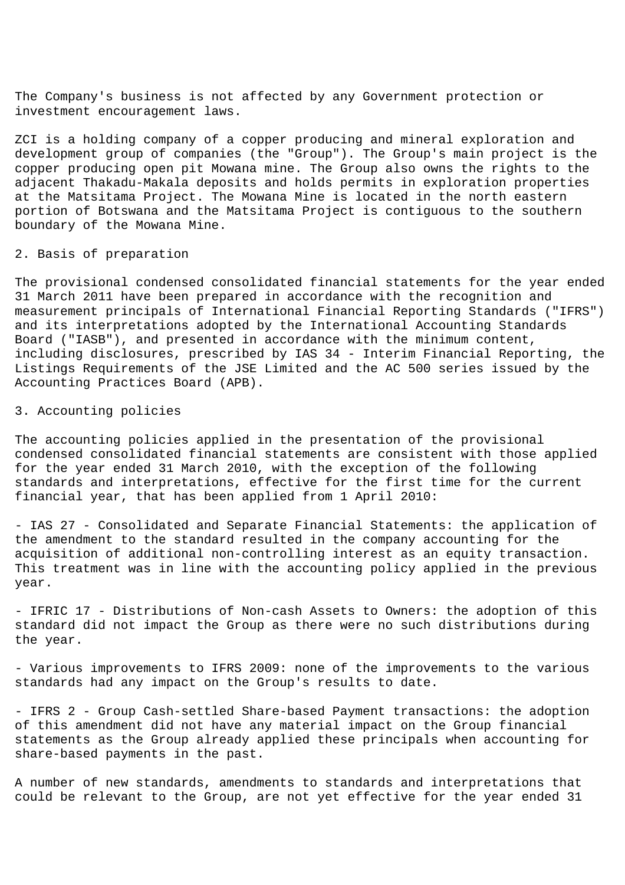The Company's business is not affected by any Government protection or investment encouragement laws.

ZCI is a holding company of a copper producing and mineral exploration and development group of companies (the "Group"). The Group's main project is the copper producing open pit Mowana mine. The Group also owns the rights to the adjacent Thakadu-Makala deposits and holds permits in exploration properties at the Matsitama Project. The Mowana Mine is located in the north eastern portion of Botswana and the Matsitama Project is contiguous to the southern boundary of the Mowana Mine.

## 2. Basis of preparation

The provisional condensed consolidated financial statements for the year ended 31 March 2011 have been prepared in accordance with the recognition and measurement principals of International Financial Reporting Standards ("IFRS") and its interpretations adopted by the International Accounting Standards Board ("IASB"), and presented in accordance with the minimum content, including disclosures, prescribed by IAS 34 - Interim Financial Reporting, the Listings Requirements of the JSE Limited and the AC 500 series issued by the Accounting Practices Board (APB).

## 3. Accounting policies

The accounting policies applied in the presentation of the provisional condensed consolidated financial statements are consistent with those applied for the year ended 31 March 2010, with the exception of the following standards and interpretations, effective for the first time for the current financial year, that has been applied from 1 April 2010:

- IAS 27 - Consolidated and Separate Financial Statements: the application of the amendment to the standard resulted in the company accounting for the acquisition of additional non-controlling interest as an equity transaction. This treatment was in line with the accounting policy applied in the previous year.

- IFRIC 17 - Distributions of Non-cash Assets to Owners: the adoption of this standard did not impact the Group as there were no such distributions during the year.

- Various improvements to IFRS 2009: none of the improvements to the various standards had any impact on the Group's results to date.

- IFRS 2 - Group Cash-settled Share-based Payment transactions: the adoption of this amendment did not have any material impact on the Group financial statements as the Group already applied these principals when accounting for share-based payments in the past.

A number of new standards, amendments to standards and interpretations that could be relevant to the Group, are not yet effective for the year ended 31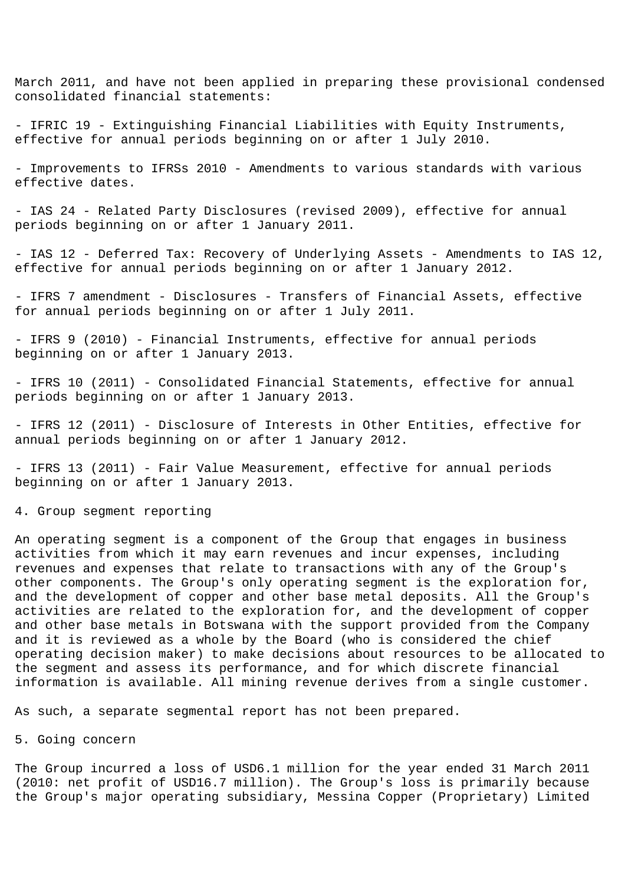March 2011, and have not been applied in preparing these provisional condensed consolidated financial statements:

- IFRIC 19 - Extinguishing Financial Liabilities with Equity Instruments, effective for annual periods beginning on or after 1 July 2010.

- Improvements to IFRSs 2010 - Amendments to various standards with various effective dates.

- IAS 24 - Related Party Disclosures (revised 2009), effective for annual periods beginning on or after 1 January 2011.

- IAS 12 - Deferred Tax: Recovery of Underlying Assets - Amendments to IAS 12, effective for annual periods beginning on or after 1 January 2012.

- IFRS 7 amendment - Disclosures - Transfers of Financial Assets, effective for annual periods beginning on or after 1 July 2011.

- IFRS 9 (2010) - Financial Instruments, effective for annual periods beginning on or after 1 January 2013.

- IFRS 10 (2011) - Consolidated Financial Statements, effective for annual periods beginning on or after 1 January 2013.

- IFRS 12 (2011) - Disclosure of Interests in Other Entities, effective for annual periods beginning on or after 1 January 2012.

- IFRS 13 (2011) - Fair Value Measurement, effective for annual periods beginning on or after 1 January 2013.

4. Group segment reporting

An operating segment is a component of the Group that engages in business activities from which it may earn revenues and incur expenses, including revenues and expenses that relate to transactions with any of the Group's other components. The Group's only operating segment is the exploration for, and the development of copper and other base metal deposits. All the Group's activities are related to the exploration for, and the development of copper and other base metals in Botswana with the support provided from the Company and it is reviewed as a whole by the Board (who is considered the chief operating decision maker) to make decisions about resources to be allocated to the segment and assess its performance, and for which discrete financial information is available. All mining revenue derives from a single customer.

As such, a separate segmental report has not been prepared.

## 5. Going concern

The Group incurred a loss of USD6.1 million for the year ended 31 March 2011 (2010: net profit of USD16.7 million). The Group's loss is primarily because the Group's major operating subsidiary, Messina Copper (Proprietary) Limited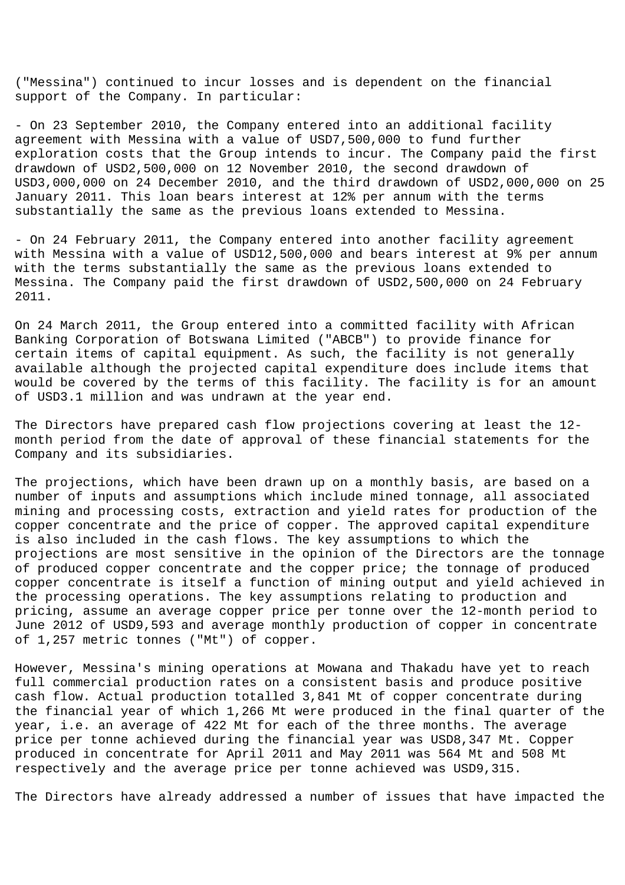("Messina") continued to incur losses and is dependent on the financial support of the Company. In particular:

- On 23 September 2010, the Company entered into an additional facility agreement with Messina with a value of USD7,500,000 to fund further exploration costs that the Group intends to incur. The Company paid the first drawdown of USD2,500,000 on 12 November 2010, the second drawdown of USD3,000,000 on 24 December 2010, and the third drawdown of USD2,000,000 on 25 January 2011. This loan bears interest at 12% per annum with the terms substantially the same as the previous loans extended to Messina.

- On 24 February 2011, the Company entered into another facility agreement with Messina with a value of USD12,500,000 and bears interest at 9% per annum with the terms substantially the same as the previous loans extended to Messina. The Company paid the first drawdown of USD2,500,000 on 24 February 2011.

On 24 March 2011, the Group entered into a committed facility with African Banking Corporation of Botswana Limited ("ABCB") to provide finance for certain items of capital equipment. As such, the facility is not generally available although the projected capital expenditure does include items that would be covered by the terms of this facility. The facility is for an amount of USD3.1 million and was undrawn at the year end.

The Directors have prepared cash flow projections covering at least the 12 month period from the date of approval of these financial statements for the Company and its subsidiaries.

The projections, which have been drawn up on a monthly basis, are based on a number of inputs and assumptions which include mined tonnage, all associated mining and processing costs, extraction and yield rates for production of the copper concentrate and the price of copper. The approved capital expenditure is also included in the cash flows. The key assumptions to which the projections are most sensitive in the opinion of the Directors are the tonnage of produced copper concentrate and the copper price; the tonnage of produced copper concentrate is itself a function of mining output and yield achieved in the processing operations. The key assumptions relating to production and pricing, assume an average copper price per tonne over the 12-month period to June 2012 of USD9,593 and average monthly production of copper in concentrate of 1,257 metric tonnes ("Mt") of copper.

However, Messina's mining operations at Mowana and Thakadu have yet to reach full commercial production rates on a consistent basis and produce positive cash flow. Actual production totalled 3,841 Mt of copper concentrate during the financial year of which 1,266 Mt were produced in the final quarter of the year, i.e. an average of 422 Mt for each of the three months. The average price per tonne achieved during the financial year was USD8,347 Mt. Copper produced in concentrate for April 2011 and May 2011 was 564 Mt and 508 Mt respectively and the average price per tonne achieved was USD9,315.

The Directors have already addressed a number of issues that have impacted the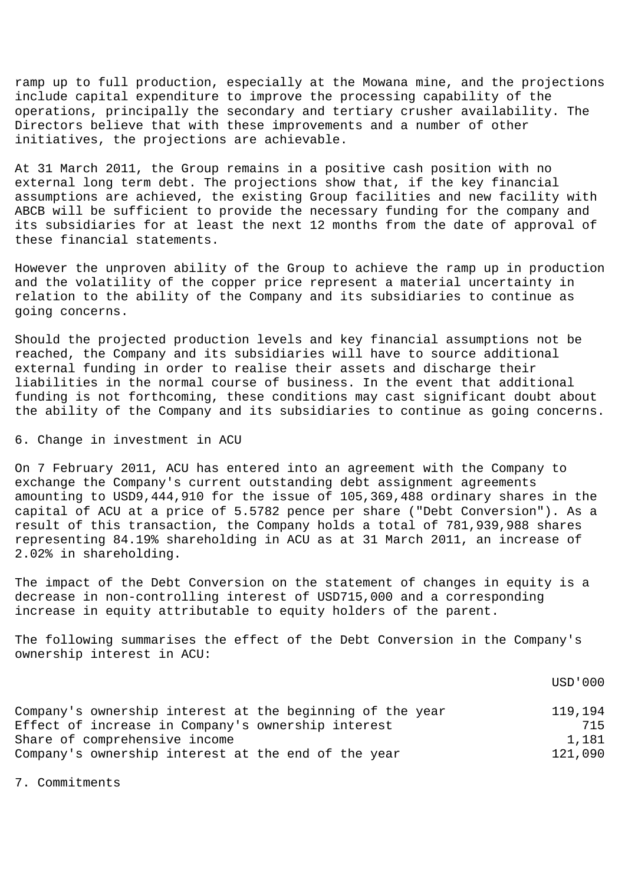ramp up to full production, especially at the Mowana mine, and the projections include capital expenditure to improve the processing capability of the operations, principally the secondary and tertiary crusher availability. The Directors believe that with these improvements and a number of other initiatives, the projections are achievable.

At 31 March 2011, the Group remains in a positive cash position with no external long term debt. The projections show that, if the key financial assumptions are achieved, the existing Group facilities and new facility with ABCB will be sufficient to provide the necessary funding for the company and its subsidiaries for at least the next 12 months from the date of approval of these financial statements.

However the unproven ability of the Group to achieve the ramp up in production and the volatility of the copper price represent a material uncertainty in relation to the ability of the Company and its subsidiaries to continue as going concerns.

Should the projected production levels and key financial assumptions not be reached, the Company and its subsidiaries will have to source additional external funding in order to realise their assets and discharge their liabilities in the normal course of business. In the event that additional funding is not forthcoming, these conditions may cast significant doubt about the ability of the Company and its subsidiaries to continue as going concerns.

## 6. Change in investment in ACU

On 7 February 2011, ACU has entered into an agreement with the Company to exchange the Company's current outstanding debt assignment agreements amounting to USD9,444,910 for the issue of 105,369,488 ordinary shares in the capital of ACU at a price of 5.5782 pence per share ("Debt Conversion"). As a result of this transaction, the Company holds a total of 781,939,988 shares representing 84.19% shareholding in ACU as at 31 March 2011, an increase of 2.02% in shareholding.

The impact of the Debt Conversion on the statement of changes in equity is a decrease in non-controlling interest of USD715,000 and a corresponding increase in equity attributable to equity holders of the parent.

The following summarises the effect of the Debt Conversion in the Company's ownership interest in ACU:

|                                                           | USD'000 |
|-----------------------------------------------------------|---------|
| Company's ownership interest at the beginning of the year | 119.194 |
| Effect of increase in Company's ownership interest        | 715     |
| Share of comprehensive income                             | 1,181   |
| Company's ownership interest at the end of the year       | 121,090 |

7. Commitments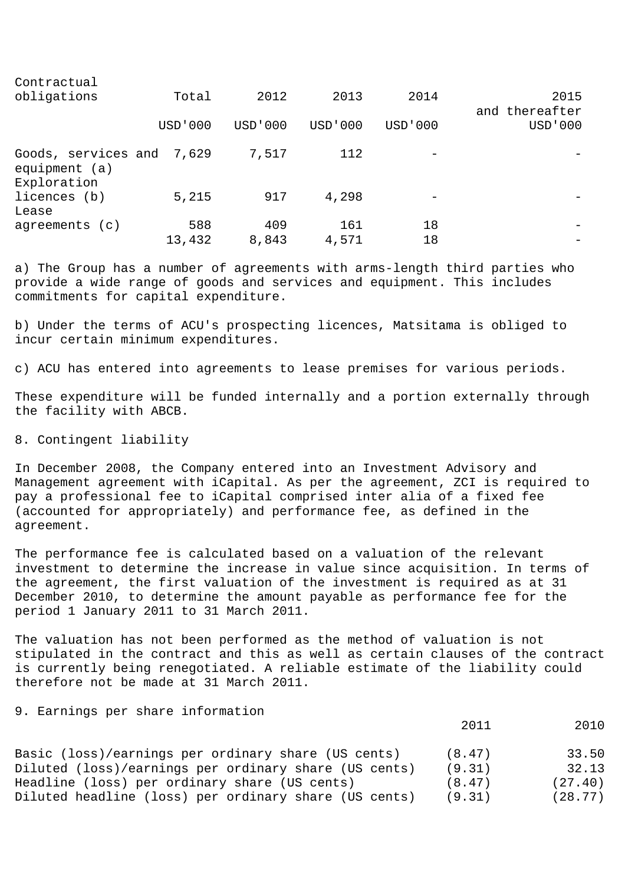| Contractual                                                 |           |         |           |           |                        |
|-------------------------------------------------------------|-----------|---------|-----------|-----------|------------------------|
| obligations                                                 | Total     | 2012    | 2013      | 2014      | 2015<br>and thereafter |
|                                                             | USD ' 000 | USD'000 | USD ' 000 | USD ' 000 | USD ' 000              |
| Goods, services and 7,629<br>equipment $(a)$<br>Exploration |           | 7,517   | 112       |           |                        |
| licences (b)<br>Lease                                       | 5,215     | 917     | 4,298     |           |                        |
| agreements (c)                                              | 588       | 409     | 161       | 18        |                        |
|                                                             | 13,432    | 8,843   | 4,571     | 18        |                        |

a) The Group has a number of agreements with arms-length third parties who provide a wide range of goods and services and equipment. This includes commitments for capital expenditure.

b) Under the terms of ACU's prospecting licences, Matsitama is obliged to incur certain minimum expenditures.

c) ACU has entered into agreements to lease premises for various periods.

These expenditure will be funded internally and a portion externally through the facility with ABCB.

8. Contingent liability

In December 2008, the Company entered into an Investment Advisory and Management agreement with iCapital. As per the agreement, ZCI is required to pay a professional fee to iCapital comprised inter alia of a fixed fee (accounted for appropriately) and performance fee, as defined in the agreement.

The performance fee is calculated based on a valuation of the relevant investment to determine the increase in value since acquisition. In terms of the agreement, the first valuation of the investment is required as at 31 December 2010, to determine the amount payable as performance fee for the period 1 January 2011 to 31 March 2011.

The valuation has not been performed as the method of valuation is not stipulated in the contract and this as well as certain clauses of the contract is currently being renegotiated. A reliable estimate of the liability could therefore not be made at 31 March 2011.

9. Earnings per share information

2011 2010

| Basic (loss)/earnings per ordinary share (US cents)   | (8.47) | 33.50   |
|-------------------------------------------------------|--------|---------|
| Diluted (loss)/earnings per ordinary share (US cents) | (9.31) | 32.13   |
| Headline (loss) per ordinary share (US cents)         | (8.47) | (27.40) |
| Diluted headline (loss) per ordinary share (US cents) | (9.31) | (28.77) |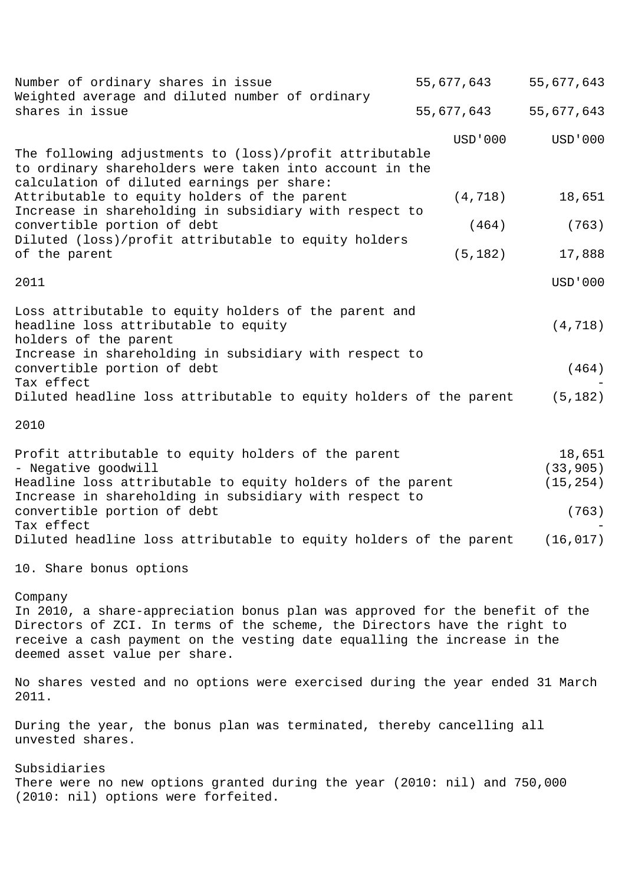| Number of ordinary shares in issue                                                                                                                                                                                                                                                | 55,677,643 | 55,677,643                                |
|-----------------------------------------------------------------------------------------------------------------------------------------------------------------------------------------------------------------------------------------------------------------------------------|------------|-------------------------------------------|
| Weighted average and diluted number of ordinary<br>shares in issue                                                                                                                                                                                                                | 55,677,643 | 55,677,643                                |
| The following adjustments to (loss)/profit attributable<br>to ordinary shareholders were taken into account in the<br>calculation of diluted earnings per share:                                                                                                                  | USD ' 000  | <b>USD'000</b>                            |
| Attributable to equity holders of the parent<br>Increase in shareholding in subsidiary with respect to                                                                                                                                                                            | (4, 718)   | 18,651                                    |
| convertible portion of debt<br>Diluted (loss)/profit attributable to equity holders                                                                                                                                                                                               | (464)      | (763)                                     |
| of the parent                                                                                                                                                                                                                                                                     | (5, 182)   | 17,888                                    |
| 2011                                                                                                                                                                                                                                                                              |            | <b>USD'000</b>                            |
| Loss attributable to equity holders of the parent and<br>headline loss attributable to equity<br>holders of the parent                                                                                                                                                            |            | (4, 718)                                  |
| Increase in shareholding in subsidiary with respect to<br>convertible portion of debt<br>Tax effect                                                                                                                                                                               |            | (464)                                     |
| Diluted headline loss attributable to equity holders of the parent                                                                                                                                                                                                                |            | (5, 182)                                  |
| 2010                                                                                                                                                                                                                                                                              |            |                                           |
| Profit attributable to equity holders of the parent<br>- Negative goodwill<br>Headline loss attributable to equity holders of the parent<br>Increase in shareholding in subsidiary with respect to<br>convertible portion of debt<br>Tax effect                                   |            | 18,651<br>(33, 905)<br>(15, 254)<br>(763) |
| Diluted headline loss attributable to equity holders of the parent                                                                                                                                                                                                                |            | (16, 017)                                 |
| 10. Share bonus options                                                                                                                                                                                                                                                           |            |                                           |
| Company<br>In 2010, a share-appreciation bonus plan was approved for the benefit of the<br>Directors of ZCI. In terms of the scheme, the Directors have the right to<br>receive a cash payment on the vesting date equalling the increase in the<br>deemed asset value per share. |            |                                           |
| No shares vested and no options were exercised during the year ended 31 March<br>2011.                                                                                                                                                                                            |            |                                           |
| During the year, the bonus plan was terminated, thereby cancelling all<br>unvested shares.                                                                                                                                                                                        |            |                                           |
| Subsidiaries<br>There were no new options granted during the year (2010: nil) and 750,000<br>(2010: nil) options were forfeited.                                                                                                                                                  |            |                                           |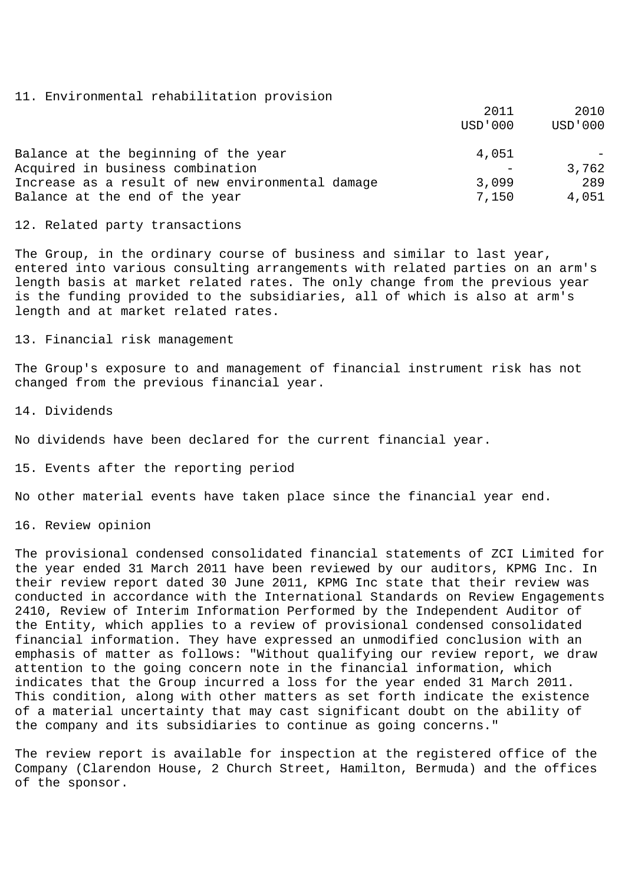## 11. Environmental rehabilitation provision

|                                                  | 2011    | 2010           |
|--------------------------------------------------|---------|----------------|
|                                                  | USD'000 | <b>USD'000</b> |
| Balance at the beginning of the year             | 4,051   |                |
| Acquired in business combination                 |         | 3,762          |
| Increase as a result of new environmental damage | 3,099   | 289            |
| Balance at the end of the year                   | 7,150   | 4,051          |

## 12. Related party transactions

The Group, in the ordinary course of business and similar to last year, entered into various consulting arrangements with related parties on an arm's length basis at market related rates. The only change from the previous year is the funding provided to the subsidiaries, all of which is also at arm's length and at market related rates.

13. Financial risk management

The Group's exposure to and management of financial instrument risk has not changed from the previous financial year.

14. Dividends

No dividends have been declared for the current financial year.

15. Events after the reporting period

No other material events have taken place since the financial year end.

16. Review opinion

The provisional condensed consolidated financial statements of ZCI Limited for the year ended 31 March 2011 have been reviewed by our auditors, KPMG Inc. In their review report dated 30 June 2011, KPMG Inc state that their review was conducted in accordance with the International Standards on Review Engagements 2410, Review of Interim Information Performed by the Independent Auditor of the Entity, which applies to a review of provisional condensed consolidated financial information. They have expressed an unmodified conclusion with an emphasis of matter as follows: "Without qualifying our review report, we draw attention to the going concern note in the financial information, which indicates that the Group incurred a loss for the year ended 31 March 2011. This condition, along with other matters as set forth indicate the existence of a material uncertainty that may cast significant doubt on the ability of the company and its subsidiaries to continue as going concerns."

The review report is available for inspection at the registered office of the Company (Clarendon House, 2 Church Street, Hamilton, Bermuda) and the offices of the sponsor.